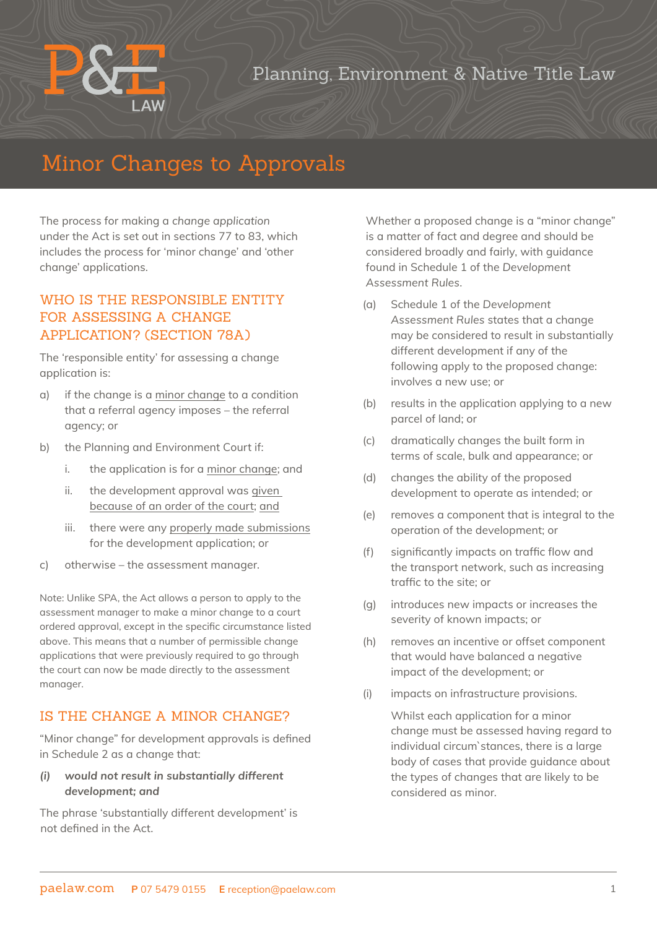## Planning, Environment & Native Title Law

# Minor Changes to Approvals

The process for making a *change application* under the Act is set out in sections 77 to 83, which includes the process for 'minor change' and 'other change' applications.

### WHO IS THE RESPONSIBLE ENTITY FOR ASSESSING A CHANGE APPLICATION? (SECTION 78A)

The 'responsible entity' for assessing a change application is:

- a) if the change is a minor change to a condition that a referral agency imposes – the referral agency; or
- b) the Planning and Environment Court if:
	- i. the application is for a minor change; and
	- ii. the development approval was given because of an order of the court; and
	- iii. there were any properly made submissions for the development application; or
- c) otherwise the assessment manager.

Note: Unlike SPA, the Act allows a person to apply to the assessment manager to make a minor change to a court ordered approval, except in the specific circumstance listed above. This means that a number of permissible change applications that were previously required to go through the court can now be made directly to the assessment manager.

#### IS THE CHANGE A MINOR CHANGE?

"Minor change" for development approvals is defined in Schedule 2 as a change that:

#### *(i) would not result in substantially different development; and*

The phrase 'substantially different development' is not defined in the Act.

Whether a proposed change is a "minor change" is a matter of fact and degree and should be considered broadly and fairly, with guidance found in Schedule 1 of the *Development Assessment Rules*.

- (a) Schedule 1 of the *Development Assessment Rules* states that a change may be considered to result in substantially different development if any of the following apply to the proposed change: involves a new use; or
- (b) results in the application applying to a new parcel of land; or
- (c) dramatically changes the built form in terms of scale, bulk and appearance; or
- (d) changes the ability of the proposed development to operate as intended; or
- (e) removes a component that is integral to the operation of the development; or
- (f) significantly impacts on traffic flow and the transport network, such as increasing traffic to the site; or
- (g) introduces new impacts or increases the severity of known impacts; or
- (h) removes an incentive or offset component that would have balanced a negative impact of the development; or
- (i) impacts on infrastructure provisions.

Whilst each application for a minor change must be assessed having regard to individual circum`stances, there is a large body of cases that provide guidance about the types of changes that are likely to be considered as minor.